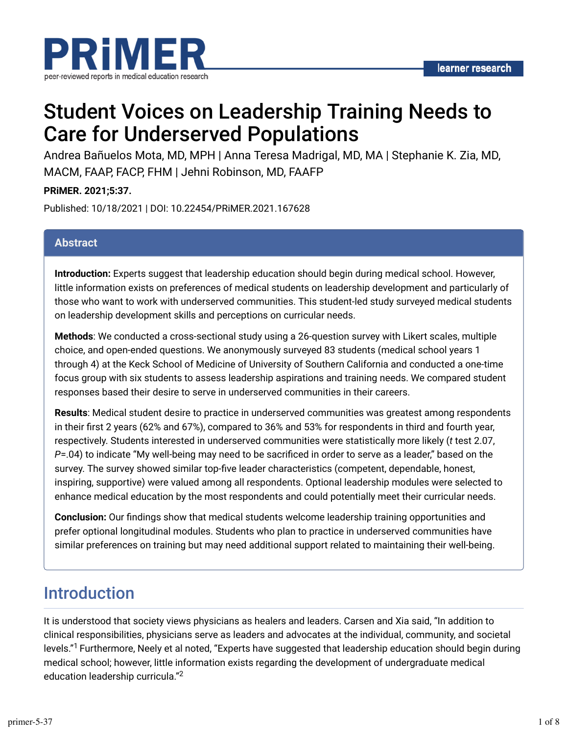

# Student Voices on Leadership Training Needs to Care for Underserved Populations

Andrea Bañuelos Mota, MD, MPH | Anna Teresa Madrigal, MD, MA | Stephanie K. Zia, MD, MACM, FAAP, FACP, FHM | Jehni Robinson, MD, FAAFP

**PRiMER. 2021;5:37.**

Published: 10/18/2021 | DOI: 10.22454/PRiMER.2021.167628

#### **Abstract**

**Introduction:** Experts suggest that leadership education should begin during medical school. However, little information exists on preferences of medical students on leadership development and particularly of those who want to work with underserved communities. This student-led study surveyed medical students on leadership development skills and perceptions on curricular needs.

**Methods**: We conducted a cross-sectional study using a 26-question survey with Likert scales, multiple choice, and open-ended questions. We anonymously surveyed 83 students (medical school years 1 through 4) at the Keck School of Medicine of University of Southern California and conducted a one-time focus group with six students to assess leadership aspirations and training needs. We compared student responses based their desire to serve in underserved communities in their careers.

**Results**: Medical student desire to practice in underserved communities was greatest among respondents in their first 2 years (62% and 67%), compared to 36% and 53% for respondents in third and fourth year, respectively. Students interested in underserved communities were statistically more likely (*t* test 2.07, *P*=.04) to indicate "My well-being may need to be sacrificed in order to serve as a leader," based on the survey. The survey showed similar top-five leader characteristics (competent, dependable, honest, inspiring, supportive) were valued among all respondents. Optional leadership modules were selected to enhance medical education by the most respondents and could potentially meet their curricular needs.

**Conclusion:** Our findings show that medical students welcome leadership training opportunities and prefer optional longitudinal modules. Students who plan to practice in underserved communities have similar preferences on training but may need additional support related to maintaining their well-being.

## Introduction

It is understood that society views physicians as healers and leaders. Carsen and Xia said, "In addition to clinical responsibilities, physicians serve as leaders and advocates at the individual, community, and societal levels."<sup>1</sup> Furthermore, Neely et al noted, "Experts have suggested that leadership education should begin during medical school; however, little information exists regarding the development of undergraduate medical education leadership curricula." 2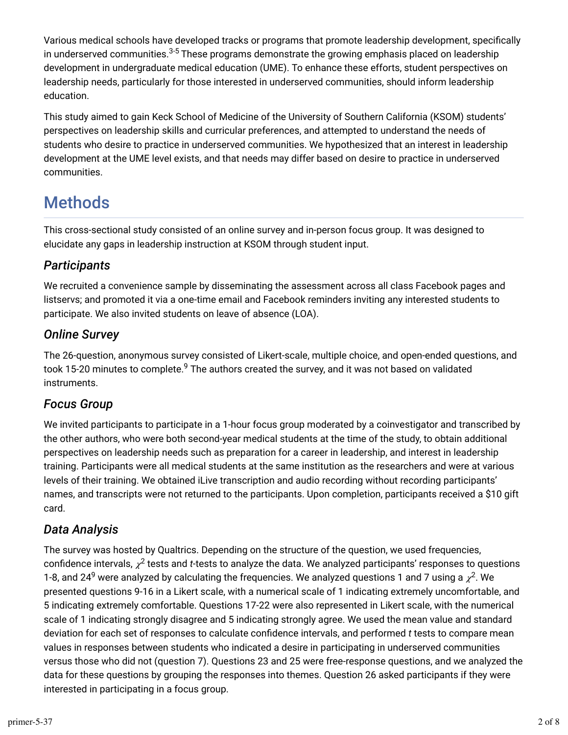Various medical schools have developed tracks or programs that promote leadership development, specifically in underserved communities. $\rm ^{3\text{-}5}$  These programs demonstrate the growing emphasis placed on leadership development in undergraduate medical education (UME). To enhance these efforts, student perspectives on leadership needs, particularly for those interested in underserved communities, should inform leadership education.

This study aimed to gain Keck School of Medicine of the University of Southern California (KSOM) students' perspectives on leadership skills and curricular preferences, and attempted to understand the needs of students who desire to practice in underserved communities. We hypothesized that an interest in leadership development at the UME level exists, and that needs may differ based on desire to practice in underserved communities.

# Methods

This cross-sectional study consisted of an online survey and in-person focus group. It was designed to elucidate any gaps in leadership instruction at KSOM through student input.

### *Participants*

We recruited a convenience sample by disseminating the assessment across all class Facebook pages and listservs; and promoted it via a one-time email and Facebook reminders inviting any interested students to participate. We also invited students on leave of absence (LOA).

#### *Online Survey*

The 26-question, anonymous survey consisted of Likert-scale, multiple choice, and open-ended questions, and took 15-20 minutes to complete.<sup>9</sup> The authors created the survey, and it was not based on validated instruments.

### *Focus Group*

We invited participants to participate in a 1-hour focus group moderated by a coinvestigator and transcribed by the other authors, who were both second-year medical students at the time of the study, to obtain additional perspectives on leadership needs such as preparation for a career in leadership, and interest in leadership training. Participants were all medical students at the same institution as the researchers and were at various levels of their training. We obtained iLive transcription and audio recording without recording participants' names, and transcripts were not returned to the participants. Upon completion, participants received a \$10 gift card.

### *Data Analysis*

The survey was hosted by Qualtrics. Depending on the structure of the question, we used frequencies, confidence intervals,  $\chi^2$  tests and *t-*tests to analyze the data. We analyzed participants' responses to questions 1-8, and 24<sup>9</sup> were analyzed by calculating the frequencies. We analyzed questions 1 and 7 using a  $\chi^2$ . We presented questions 9-16 in a Likert scale, with a numerical scale of 1 indicating extremely uncomfortable, and 5 indicating extremely comfortable. Questions 17-22 were also represented in Likert scale, with the numerical scale of 1 indicating strongly disagree and 5 indicating strongly agree. We used the mean value and standard deviation for each set of responses to calculate confidence intervals, and performed *t* tests to compare mean values in responses between students who indicated a desire in participating in underserved communities versus those who did not (question 7). Questions 23 and 25 were free-response questions, and we analyzed the data for these questions by grouping the responses into themes. Question 26 asked participants if they were interested in participating in a focus group.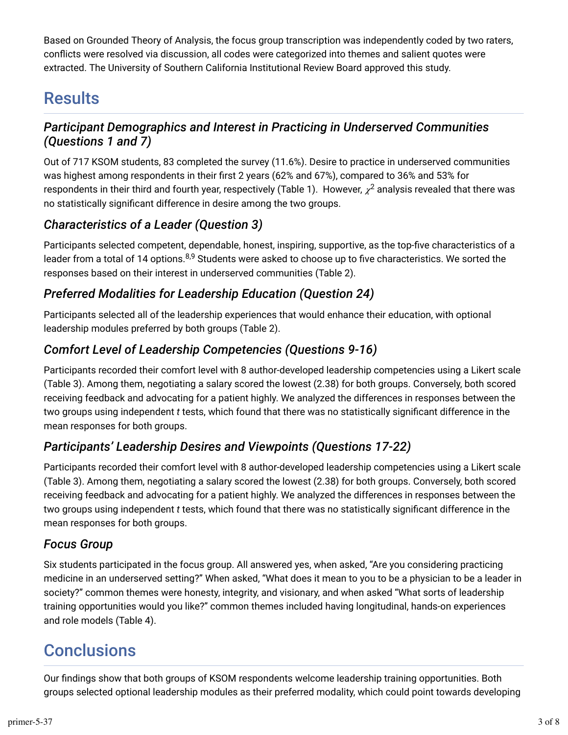Based on Grounded Theory of Analysis, the focus group transcription was independently coded by two raters, conflicts were resolved via discussion, all codes were categorized into themes and salient quotes were extracted. The University of Southern California Institutional Review Board approved this study.

## Results

#### *Participant Demographics and Interest in Practicing in Underserved Communities (Questions 1 and 7)*

Out of 717 KSOM students, 83 completed the survey (11.6%). Desire to practice in underserved communities was highest among respondents in their first 2 years (62% and 67%), compared to 36% and 53% for respondents in their third and fourth year, respectively (Table 1). However,  $\chi^2$  analysis revealed that there was no statistically significant difference in desire among the two groups.

### *Characteristics of a Leader (Question 3)*

Participants selected competent, dependable, honest, inspiring, supportive, as the top-five characteristics of a leader from a total of 14 options.<sup>8,9</sup> Students were asked to choose up to five characteristics. We sorted the responses based on their interest in underserved communities (Table 2).

### *Preferred Modalities for Leadership Education (Question 24)*

Participants selected all of the leadership experiences that would enhance their education, with optional leadership modules preferred by both groups (Table 2).

### *Comfort Level of Leadership Competencies (Questions 9-16)*

Participants recorded their comfort level with 8 author-developed leadership competencies using a Likert scale (Table 3). Among them, negotiating a salary scored the lowest (2.38) for both groups. Conversely, both scored receiving feedback and advocating for a patient highly. We analyzed the differences in responses between the two groups using independent *t* tests, which found that there was no statistically significant difference in the mean responses for both groups.

### *Participants' Leadership Desires and Viewpoints (Questions 17-22)*

Participants recorded their comfort level with 8 author-developed leadership competencies using a Likert scale (Table 3). Among them, negotiating a salary scored the lowest (2.38) for both groups. Conversely, both scored receiving feedback and advocating for a patient highly. We analyzed the differences in responses between the two groups using independent *t* tests, which found that there was no statistically significant difference in the mean responses for both groups.

### *Focus Group*

Six students participated in the focus group. All answered yes, when asked, "Are you considering practicing medicine in an underserved setting?" When asked, "What does it mean to you to be a physician to be a leader in society?" common themes were honesty, integrity, and visionary, and when asked "What sorts of leadership training opportunities would you like?" common themes included having longitudinal, hands-on experiences and role models (Table 4).

## **Conclusions**

Our findings show that both groups of KSOM respondents welcome leadership training opportunities. Both groups selected optional leadership modules as their preferred modality, which could point towards developing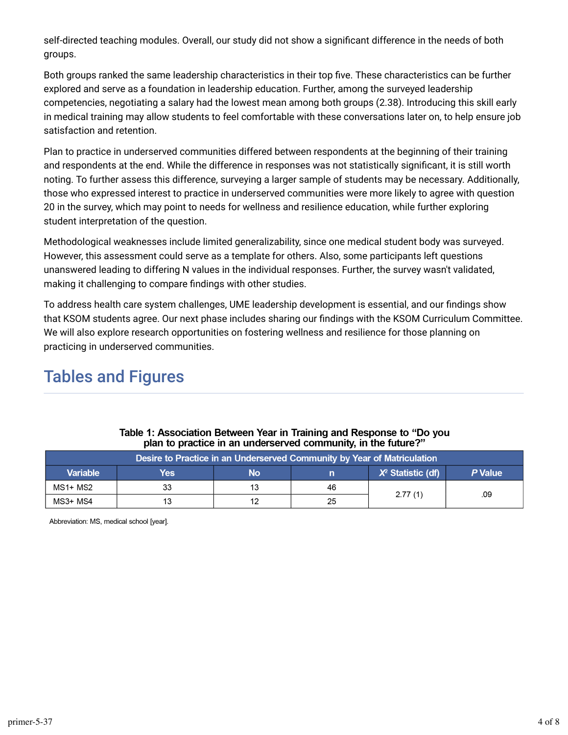self-directed teaching modules. Overall, our study did not show a significant difference in the needs of both groups.

Both groups ranked the same leadership characteristics in their top five. These characteristics can be further explored and serve as a foundation in leadership education. Further, among the surveyed leadership competencies, negotiating a salary had the lowest mean among both groups (2.38). Introducing this skill early in medical training may allow students to feel comfortable with these conversations later on, to help ensure job satisfaction and retention.

Plan to practice in underserved communities differed between respondents at the beginning of their training and respondents at the end. While the difference in responses was not statistically significant, it is still worth noting. To further assess this difference, surveying a larger sample of students may be necessary. Additionally, those who expressed interest to practice in underserved communities were more likely to agree with question 20 in the survey, which may point to needs for wellness and resilience education, while further exploring student interpretation of the question.

Methodological weaknesses include limited generalizability, since one medical student body was surveyed. However, this assessment could serve as a template for others. Also, some participants left questions unanswered leading to differing N values in the individual responses. Further, the survey wasn't validated, making it challenging to compare findings with other studies.

To address health care system challenges, UME leadership development is essential, and our findings show that KSOM students agree. Our next phase includes sharing our findings with the KSOM Curriculum Committee. We will also explore research opportunities on fostering wellness and resilience for those planning on practicing in underserved communities.

### Tables and Figures

| Desire to Practice in an Underserved Community by Year of Matriculation $\mu$ |     |           |    |                     |         |  |
|-------------------------------------------------------------------------------|-----|-----------|----|---------------------|---------|--|
| <b>Variable</b>                                                               | Yes | <b>No</b> |    | $X2$ Statistic (df) | P Value |  |
| MS1+ MS2                                                                      | 33  | 13        | 46 |                     |         |  |
| MS3+ MS4                                                                      |     | 12        | 25 | 2.77(1)             | .09     |  |

#### Table 1: Association Between Year in Training and Response to "Do you plan to practice in an underserved community, in the future?"

Abbreviation: MS, medical school [year].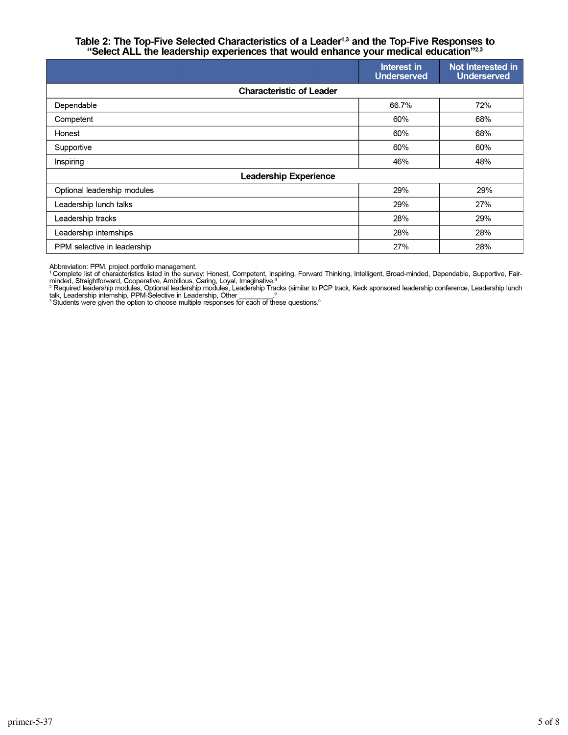# Table 2: The Top-Five Selected Characteristics of a Leader<sup>1,3</sup> and the Top-Five Responses to "Select ALL the leadership experiences that would enhance your medical education"<sup>2,3</sup>

|                                 | Interest in<br><b>Underserved</b> | <b>Not Interested in</b><br><b>Underserved</b> |  |  |
|---------------------------------|-----------------------------------|------------------------------------------------|--|--|
| <b>Characteristic of Leader</b> |                                   |                                                |  |  |
| Dependable                      | 66.7%                             | 72%                                            |  |  |
| Competent                       | 60%                               | 68%                                            |  |  |
| Honest                          | 60%                               | 68%                                            |  |  |
| Supportive                      | 60%                               | 60%                                            |  |  |
| Inspiring                       | 46%                               | 48%                                            |  |  |
| <b>Leadership Experience</b>    |                                   |                                                |  |  |
| Optional leadership modules     | 29%                               | 29%                                            |  |  |
| Leadership lunch talks          | 29%                               | 27%                                            |  |  |
| Leadership tracks               | 28%                               | 29%                                            |  |  |
| Leadership internships          | 28%                               | 28%                                            |  |  |
| PPM selective in leadership     | 27%                               | 28%                                            |  |  |

Abbreviation: PPM, project portfolio management.<br><sup>1</sup> Complete list of characteristics listed in the survey: Honest, Competent, Inspiring, Forward Thinking, Intelligent, Broad-minded, Dependable, Supportive, Fair-<br><sup>1</sup> Compl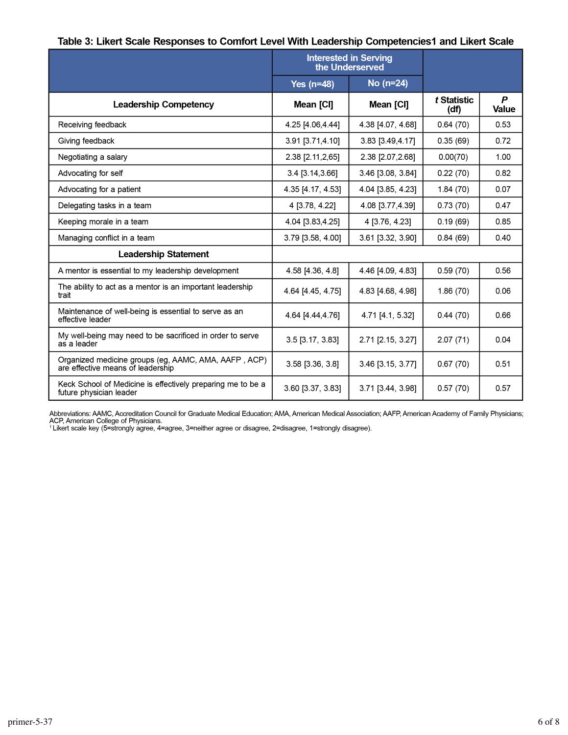#### Table 3: Likert Scale Responses to Comfort Level With Leadership Competencies1 and Likert Scale

|                                                                                           | <b>Interested in Serving</b><br>the Underserved |                   |                     |                   |
|-------------------------------------------------------------------------------------------|-------------------------------------------------|-------------------|---------------------|-------------------|
|                                                                                           | Yes $(n=48)$                                    | No (n=24)         |                     |                   |
| <b>Leadership Competency</b>                                                              | Mean [CI]                                       | Mean [CI]         | t Statistic<br>(df) | P<br><b>Value</b> |
| Receiving feedback                                                                        | 4.25 [4.06,4.44]                                | 4.38 [4.07, 4.68] | 0.64(70)            | 0.53              |
| Giving feedback                                                                           | 3.91 [3.71,4.10]                                | 3.83 [3.49,4.17]  | 0.35(69)            | 0.72              |
| Negotiating a salary                                                                      | 2.38 [2.11, 2,65]                               | 2.38 [2.07, 2.68] | 0.00(70)            | 1.00              |
| Advocating for self                                                                       | 3.4 [3.14,3.66]                                 | 3.46 [3.08, 3.84] | 0.22(70)            | 0.82              |
| Advocating for a patient                                                                  | 4.35 [4.17, 4.53]                               | 4.04 [3.85, 4.23] | 1.84(70)            | 0.07              |
| Delegating tasks in a team                                                                | 4 [3.78, 4.22]                                  | 4.08 [3.77,4.39]  | 0.73(70)            | 0.47              |
| Keeping morale in a team                                                                  | 4.04 [3.83,4.25]                                | 4 [3.76, 4.23]    | 0.19(69)            | 0.85              |
| Managing conflict in a team                                                               | 3.79 [3.58, 4.00]                               | 3.61 [3.32, 3.90] | 0.84(69)            | 0.40              |
| <b>Leadership Statement</b>                                                               |                                                 |                   |                     |                   |
| A mentor is essential to my leadership development                                        | 4.58 [4.36, 4.8]                                | 4.46 [4.09, 4.83] | 0.59(70)            | 0.56              |
| The ability to act as a mentor is an important leadership<br>trait                        | 4.64 [4.45, 4.75]                               | 4.83 [4.68, 4.98] | 1.86(70)            | 0.06              |
| Maintenance of well-being is essential to serve as an<br>effective leader                 | 4.64 [4.44,4.76]                                | 4.71 [4.1, 5.32]  | 0.44(70)            | 0.66              |
| My well-being may need to be sacrificed in order to serve<br>as a leader                  | 3.5 [3.17, 3.83]                                | 2.71 [2.15, 3.27] | 2.07(71)            | 0.04              |
| Organized medicine groups (eg, AAMC, AMA, AAFP, ACP)<br>are effective means of leadership | 3.58 [3.36, 3.8]                                | 3.46 [3.15, 3.77] | 0.67(70)            | 0.51              |
| Keck School of Medicine is effectively preparing me to be a<br>future physician leader    | 3.60 [3.37, 3.83]                               | 3.71 [3.44, 3.98] | 0.57(70)            | 0.57              |

Abbreviations: AAMC, Accreditation Council for Graduate Medical Education; AMA, American Medical Association; AAFP, American Academy of Family Physicians;<br>ACP, American College of Physicians.<br>'Likert scale key (5=strongly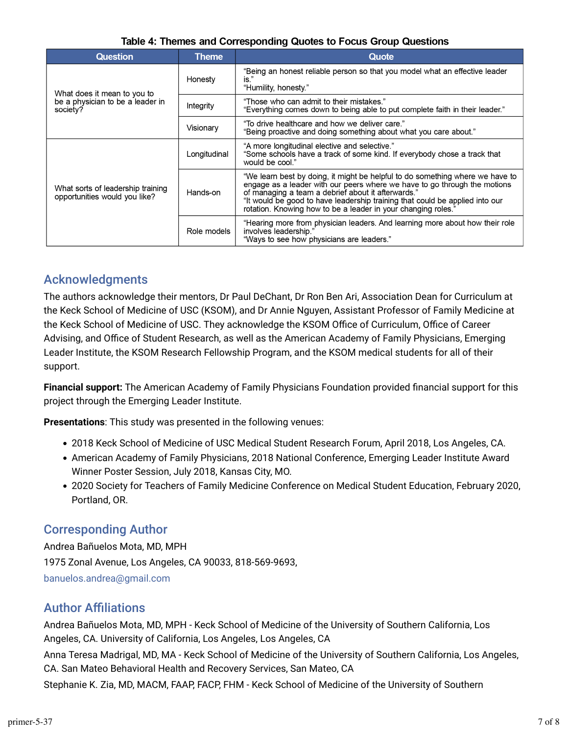| <b>Question</b>                                                    | <b>Theme</b> | Quote                                                                                                                                                                                                                                                                                                                                                             |  |
|--------------------------------------------------------------------|--------------|-------------------------------------------------------------------------------------------------------------------------------------------------------------------------------------------------------------------------------------------------------------------------------------------------------------------------------------------------------------------|--|
| What does it mean to you to                                        | Honesty      | "Being an honest reliable person so that you model what an effective leader<br>is."<br>"Humility, honesty."                                                                                                                                                                                                                                                       |  |
| be a physician to be a leader in<br>society?                       | Integrity    | "Those who can admit to their mistakes."<br>"Everything comes down to being able to put complete faith in their leader."                                                                                                                                                                                                                                          |  |
|                                                                    | Visionary    | "To drive healthcare and how we deliver care."<br>"Being proactive and doing something about what you care about."                                                                                                                                                                                                                                                |  |
|                                                                    | Longitudinal | "A more longitudinal elective and selective."<br>"Some schools have a track of some kind. If everybody chose a track that<br>would be cool."                                                                                                                                                                                                                      |  |
| What sorts of leadership training<br>opportunities would you like? | Hands-on     | "We learn best by doing, it might be helpful to do something where we have to<br>engage as a leader with our peers where we have to go through the motions<br>of managing a team a debrief about it afterwards."<br>"It would be good to have leadership training that could be applied into our<br>rotation. Knowing how to be a leader in your changing roles." |  |
|                                                                    | Role models  | "Hearing more from physician leaders. And learning more about how their role<br>involves leadership."<br>"Ways to see how physicians are leaders."                                                                                                                                                                                                                |  |

#### Acknowledgments

The authors acknowledge their mentors, Dr Paul DeChant, Dr Ron Ben Ari, Association Dean for Curriculum at the Keck School of Medicine of USC (KSOM), and Dr Annie Nguyen, Assistant Professor of Family Medicine at the Keck School of Medicine of USC. They acknowledge the KSOM Office of Curriculum, Office of Career Advising, and Office of Student Research, as well as the American Academy of Family Physicians, Emerging Leader Institute, the KSOM Research Fellowship Program, and the KSOM medical students for all of their support.

**Financial support:** The American Academy of Family Physicians Foundation provided financial support for this project through the Emerging Leader Institute.

**Presentations**: This study was presented in the following venues:

- 2018 Keck School of Medicine of USC Medical Student Research Forum, April 2018, Los Angeles, CA.
- American Academy of Family Physicians, 2018 National Conference, Emerging Leader Institute Award Winner Poster Session, July 2018, Kansas City, MO.
- 2020 Society for Teachers of Family Medicine Conference on Medical Student Education, February 2020, Portland, OR.

#### Corresponding Author

Andrea Bañuelos Mota, MD, MPH 1975 Zonal Avenue, Los Angeles, CA 90033, 818-569-9693, [banuelos.andrea@gmail.com](mailto:banuelos.andrea@gmail.com)

#### **Author Affiliations**

Andrea Bañuelos Mota, MD, MPH - Keck School of Medicine of the University of Southern California, Los Angeles, CA. University of California, Los Angeles, Los Angeles, CA

Anna Teresa Madrigal, MD, MA - Keck School of Medicine of the University of Southern California, Los Angeles, CA. San Mateo Behavioral Health and Recovery Services, San Mateo, CA

Stephanie K. Zia, MD, MACM, FAAP, FACP, FHM - Keck School of Medicine of the University of Southern